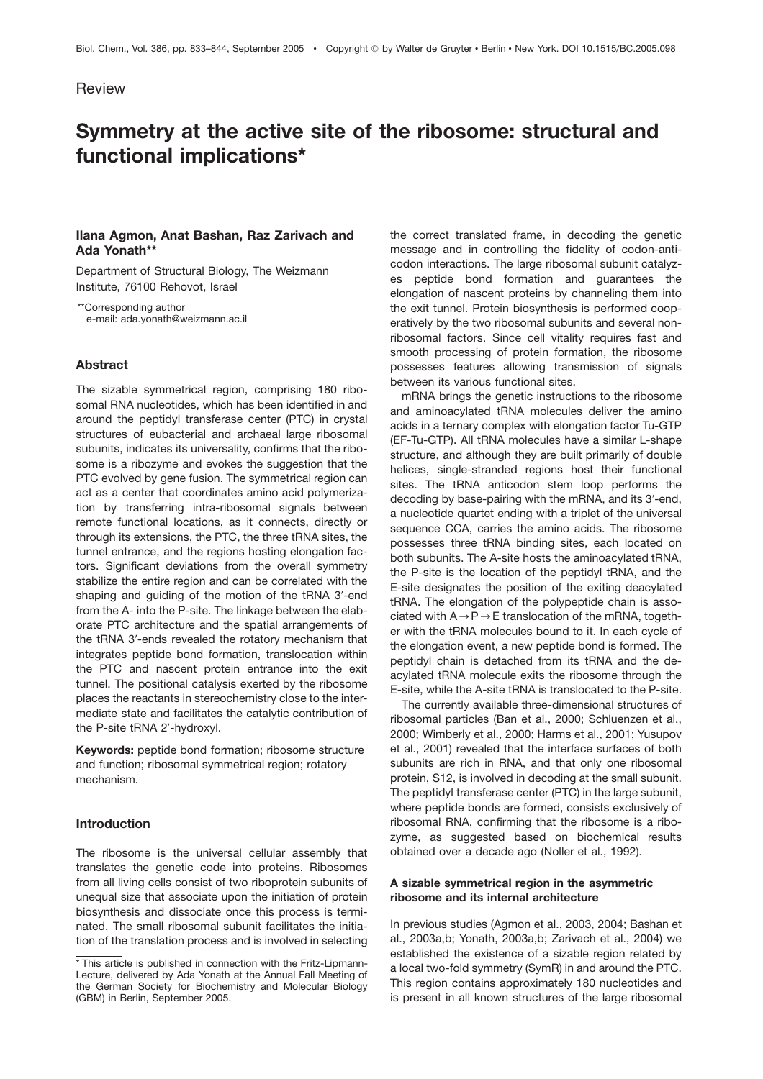# **Review**

# **Symmetry at the active site of the ribosome: structural and functional implications\***

# **Ilana Agmon, Anat Bashan, Raz Zarivach and Ada Yonath\*\***

Department of Structural Biology, The Weizmann Institute, 76100 Rehovot, Israel

\*\*Corresponding author e-mail: ada.yonath@weizmann.ac.il

#### **Abstract**

The sizable symmetrical region, comprising 180 ribosomal RNA nucleotides, which has been identified in and around the peptidyl transferase center (PTC) in crystal structures of eubacterial and archaeal large ribosomal subunits, indicates its universality, confirms that the ribosome is a ribozyme and evokes the suggestion that the PTC evolved by gene fusion. The symmetrical region can act as a center that coordinates amino acid polymerization by transferring intra-ribosomal signals between remote functional locations, as it connects, directly or through its extensions, the PTC, the three tRNA sites, the tunnel entrance, and the regions hosting elongation factors. Significant deviations from the overall symmetry stabilize the entire region and can be correlated with the shaping and guiding of the motion of the tRNA 3'-end from the A- into the P-site. The linkage between the elaborate PTC architecture and the spatial arrangements of the tRNA 3'-ends revealed the rotatory mechanism that integrates peptide bond formation, translocation within the PTC and nascent protein entrance into the exit tunnel. The positional catalysis exerted by the ribosome places the reactants in stereochemistry close to the intermediate state and facilitates the catalytic contribution of the P-site tRNA 2'-hydroxyl.

**Keywords:** peptide bond formation; ribosome structure and function; ribosomal symmetrical region; rotatory mechanism.

# **Introduction**

The ribosome is the universal cellular assembly that translates the genetic code into proteins. Ribosomes from all living cells consist of two riboprotein subunits of unequal size that associate upon the initiation of protein biosynthesis and dissociate once this process is terminated. The small ribosomal subunit facilitates the initiation of the translation process and is involved in selecting

the correct translated frame, in decoding the genetic message and in controlling the fidelity of codon-anticodon interactions. The large ribosomal subunit catalyzes peptide bond formation and guarantees the elongation of nascent proteins by channeling them into the exit tunnel. Protein biosynthesis is performed cooperatively by the two ribosomal subunits and several nonribosomal factors. Since cell vitality requires fast and smooth processing of protein formation, the ribosome possesses features allowing transmission of signals between its various functional sites.

mRNA brings the genetic instructions to the ribosome and aminoacylated tRNA molecules deliver the amino acids in a ternary complex with elongation factor Tu-GTP (EF-Tu-GTP). All tRNA molecules have a similar L-shape structure, and although they are built primarily of double helices, single-stranded regions host their functional sites. The tRNA anticodon stem loop performs the decoding by base-pairing with the mRNA, and its 3'-end, a nucleotide quartet ending with a triplet of the universal sequence CCA, carries the amino acids. The ribosome possesses three tRNA binding sites, each located on both subunits. The A-site hosts the aminoacylated tRNA, the P-site is the location of the peptidyl tRNA, and the E-site designates the position of the exiting deacylated tRNA. The elongation of the polypeptide chain is associated with  $A \rightarrow P \rightarrow E$  translocation of the mRNA, together with the tRNA molecules bound to it. In each cycle of the elongation event, a new peptide bond is formed. The peptidyl chain is detached from its tRNA and the deacylated tRNA molecule exits the ribosome through the E-site, while the A-site tRNA is translocated to the P-site.

The currently available three-dimensional structures of ribosomal particles (Ban et al., 2000; Schluenzen et al., 2000; Wimberly et al., 2000; Harms et al., 2001; Yusupov et al., 2001) revealed that the interface surfaces of both subunits are rich in RNA, and that only one ribosomal protein, S12, is involved in decoding at the small subunit. The peptidyl transferase center (PTC) in the large subunit, where peptide bonds are formed, consists exclusively of ribosomal RNA, confirming that the ribosome is a ribozyme, as suggested based on biochemical results obtained over a decade ago (Noller et al., 1992).

## **A sizable symmetrical region in the asymmetric ribosome and its internal architecture**

In previous studies (Agmon et al., 2003, 2004; Bashan et al., 2003a,b; Yonath, 2003a,b; Zarivach et al., 2004) we established the existence of a sizable region related by a local two-fold symmetry (SymR) in and around the PTC. This region contains approximately 180 nucleotides and is present in all known structures of the large ribosomal

<sup>\*</sup> This article is published in connection with the Fritz-Lipmann-Lecture, delivered by Ada Yonath at the Annual Fall Meeting of the German Society for Biochemistry and Molecular Biology (GBM) in Berlin, September 2005.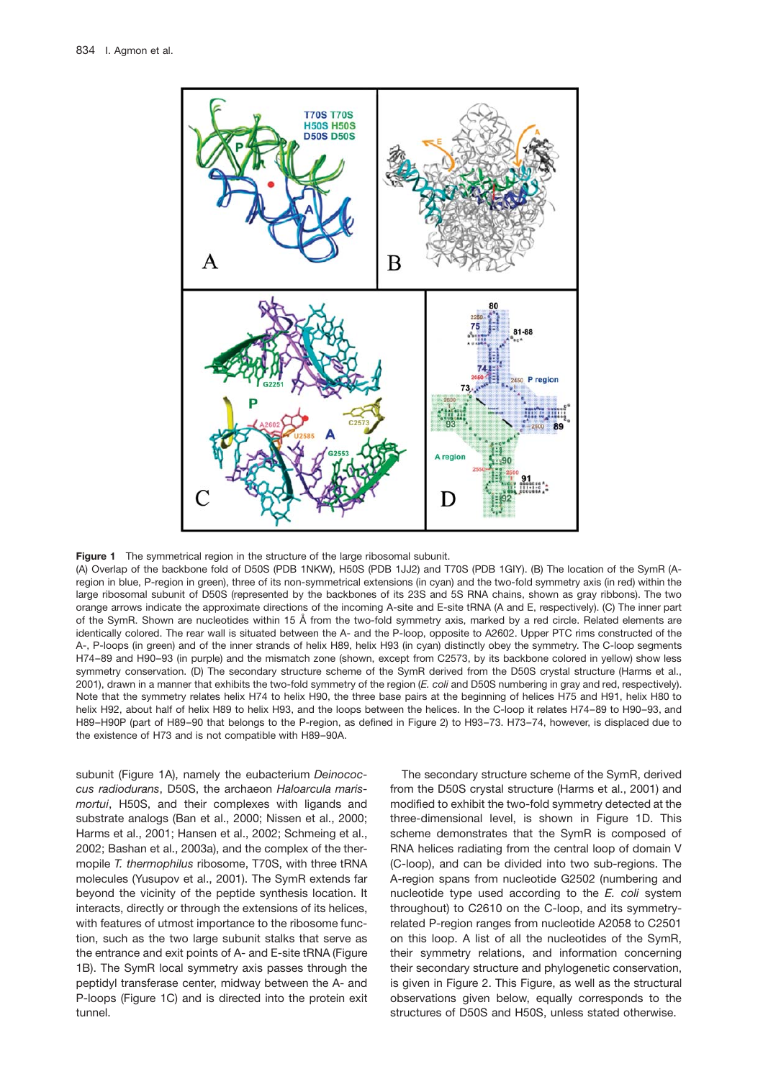

**Figure 1** The symmetrical region in the structure of the large ribosomal subunit.

(A) Overlap of the backbone fold of D50S (PDB 1NKW), H50S (PDB 1JJ2) and T70S (PDB 1GIY). (B) The location of the SymR (Aregion in blue, P-region in green), three of its non-symmetrical extensions (in cyan) and the two-fold symmetry axis (in red) within the large ribosomal subunit of D50S (represented by the backbones of its 23S and 5S RNA chains, shown as gray ribbons). The two orange arrows indicate the approximate directions of the incoming A-site and E-site tRNA (A and E, respectively). (C) The inner part of the SymR. Shown are nucleotides within 15 A˚ from the two-fold symmetry axis, marked by a red circle. Related elements are identically colored. The rear wall is situated between the A- and the P-loop, opposite to A2602. Upper PTC rims constructed of the A-, P-loops (in green) and of the inner strands of helix H89, helix H93 (in cyan) distinctly obey the symmetry. The C-loop segments H74–89 and H90–93 (in purple) and the mismatch zone (shown, except from C2573, by its backbone colored in yellow) show less symmetry conservation. (D) The secondary structure scheme of the SymR derived from the D50S crystal structure (Harms et al., 2001), drawn in a manner that exhibits the two-fold symmetry of the region (*E. coli* and D50S numbering in gray and red, respectively). Note that the symmetry relates helix H74 to helix H90, the three base pairs at the beginning of helices H75 and H91, helix H80 to helix H92, about half of helix H89 to helix H93, and the loops between the helices. In the C-loop it relates H74–89 to H90–93, and H89–H90P (part of H89–90 that belongs to the P-region, as defined in Figure 2) to H93–73. H73–74, however, is displaced due to the existence of H73 and is not compatible with H89–90A.

subunit (Figure 1A), namely the eubacterium *Deinococcus radiodurans*, D50S, the archaeon *Haloarcula marismortui*, H50S, and their complexes with ligands and substrate analogs (Ban et al., 2000; Nissen et al., 2000; Harms et al., 2001; Hansen et al., 2002; Schmeing et al., 2002; Bashan et al., 2003a), and the complex of the thermopile *T. thermophilus* ribosome, T70S, with three tRNA molecules (Yusupov et al., 2001). The SymR extends far beyond the vicinity of the peptide synthesis location. It interacts, directly or through the extensions of its helices, with features of utmost importance to the ribosome function, such as the two large subunit stalks that serve as the entrance and exit points of A- and E-site tRNA (Figure 1B). The SymR local symmetry axis passes through the peptidyl transferase center, midway between the A- and P-loops (Figure 1C) and is directed into the protein exit tunnel.

The secondary structure scheme of the SymR, derived from the D50S crystal structure (Harms et al., 2001) and modified to exhibit the two-fold symmetry detected at the three-dimensional level, is shown in Figure 1D. This scheme demonstrates that the SymR is composed of RNA helices radiating from the central loop of domain V (C-loop), and can be divided into two sub-regions. The A-region spans from nucleotide G2502 (numbering and nucleotide type used according to the *E. coli* system throughout) to C2610 on the C-loop, and its symmetryrelated P-region ranges from nucleotide A2058 to C2501 on this loop. A list of all the nucleotides of the SymR, their symmetry relations, and information concerning their secondary structure and phylogenetic conservation, is given in Figure 2. This Figure, as well as the structural observations given below, equally corresponds to the structures of D50S and H50S, unless stated otherwise.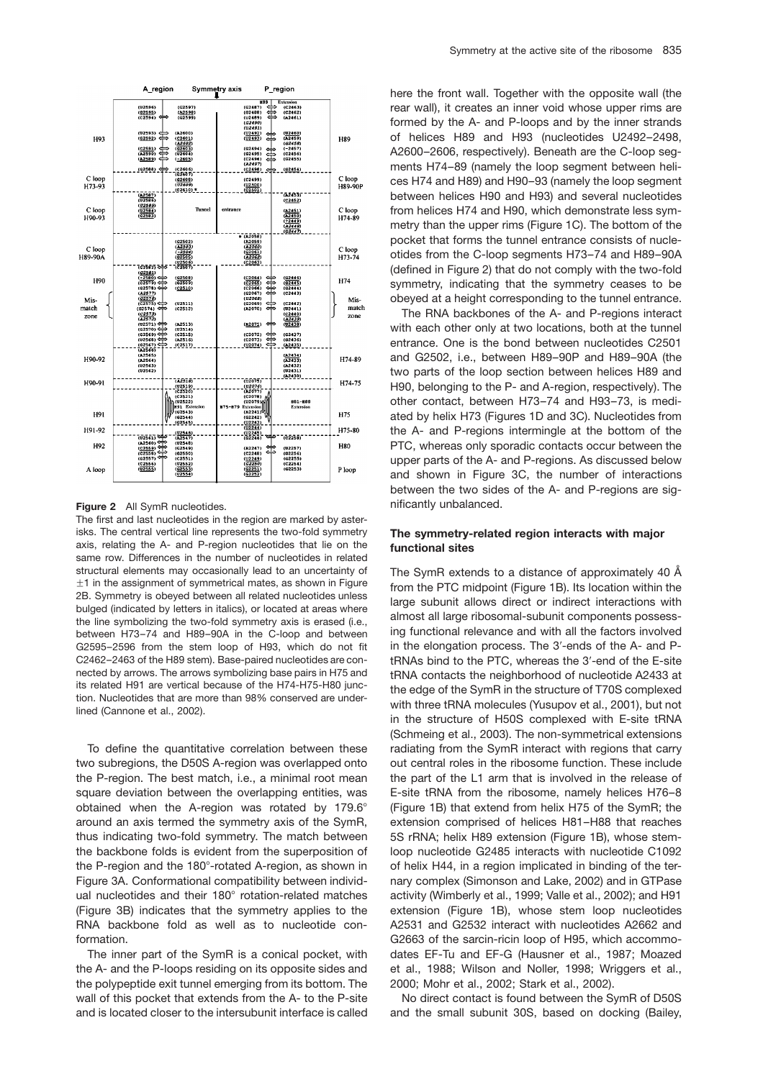

**Figure 2** All SymR nucleotides.

The first and last nucleotides in the region are marked by asterisks. The central vertical line represents the two-fold symmetry axis, relating the A- and P-region nucleotides that lie on the same row. Differences in the number of nucleotides in related structural elements may occasionally lead to an uncertainty of  $\pm$ 1 in the assignment of symmetrical mates, as shown in Figure 2B. Symmetry is obeyed between all related nucleotides unless bulged (indicated by letters in italics), or located at areas where the line symbolizing the two-fold symmetry axis is erased (i.e., between H73–74 and H89–90A in the C-loop and between G2595–2596 from the stem loop of H93, which do not fit C2462–2463 of the H89 stem). Base-paired nucleotides are connected by arrows. The arrows symbolizing base pairs in H75 and its related H91 are vertical because of the H74-H75-H80 junction. Nucleotides that are more than 98% conserved are underlined (Cannone et al., 2002).

To define the quantitative correlation between these two subregions, the D50S A-region was overlapped onto the P-region. The best match, i.e., a minimal root mean square deviation between the overlapping entities, was obtained when the A-region was rotated by  $179.6^{\circ}$ around an axis termed the symmetry axis of the SymR, thus indicating two-fold symmetry. The match between the backbone folds is evident from the superposition of the P-region and the  $180^\circ$ -rotated A-region, as shown in Figure 3A. Conformational compatibility between individual nucleotides and their 180° rotation-related matches (Figure 3B) indicates that the symmetry applies to the RNA backbone fold as well as to nucleotide conformation.

The inner part of the SymR is a conical pocket, with the A- and the P-loops residing on its opposite sides and the polypeptide exit tunnel emerging from its bottom. The wall of this pocket that extends from the A- to the P-site and is located closer to the intersubunit interface is called here the front wall. Together with the opposite wall (the rear wall), it creates an inner void whose upper rims are formed by the A- and P-loops and by the inner strands of helices H89 and H93 (nucleotides U2492–2498, A2600–2606, respectively). Beneath are the C-loop segments H74–89 (namely the loop segment between helices H74 and H89) and H90–93 (namely the loop segment between helices H90 and H93) and several nucleotides from helices H74 and H90, which demonstrate less symmetry than the upper rims (Figure 1C). The bottom of the pocket that forms the tunnel entrance consists of nucleotides from the C-loop segments H73–74 and H89–90A (defined in Figure 2) that do not comply with the two-fold symmetry, indicating that the symmetry ceases to be obeyed at a height corresponding to the tunnel entrance.

The RNA backbones of the A- and P-regions interact with each other only at two locations, both at the tunnel entrance. One is the bond between nucleotides C2501 and G2502, i.e., between H89–90P and H89–90A (the two parts of the loop section between helices H89 and H90, belonging to the P- and A-region, respectively). The other contact, between H73–74 and H93–73, is mediated by helix H73 (Figures 1D and 3C). Nucleotides from the A- and P-regions intermingle at the bottom of the PTC, whereas only sporadic contacts occur between the upper parts of the A- and P-regions. As discussed below and shown in Figure 3C, the number of interactions between the two sides of the A- and P-regions are significantly unbalanced.

#### **The symmetry-related region interacts with major functional sites**

The SymR extends to a distance of approximately 40  $\AA$ from the PTC midpoint (Figure 1B). Its location within the large subunit allows direct or indirect interactions with almost all large ribosomal-subunit components possessing functional relevance and with all the factors involved in the elongation process. The 3'-ends of the A- and PtRNAs bind to the PTC, whereas the 3'-end of the E-site tRNA contacts the neighborhood of nucleotide A2433 at the edge of the SymR in the structure of T70S complexed with three tRNA molecules (Yusupov et al., 2001), but not in the structure of H50S complexed with E-site tRNA (Schmeing et al., 2003). The non-symmetrical extensions radiating from the SymR interact with regions that carry out central roles in the ribosome function. These include the part of the L1 arm that is involved in the release of E-site tRNA from the ribosome, namely helices H76–8 (Figure 1B) that extend from helix H75 of the SymR; the extension comprised of helices H81–H88 that reaches 5S rRNA; helix H89 extension (Figure 1B), whose stemloop nucleotide G2485 interacts with nucleotide C1092 of helix H44, in a region implicated in binding of the ternary complex (Simonson and Lake, 2002) and in GTPase activity (Wimberly et al., 1999; Valle et al., 2002); and H91 extension (Figure 1B), whose stem loop nucleotides A2531 and G2532 interact with nucleotides A2662 and G2663 of the sarcin-ricin loop of H95, which accommodates EF-Tu and EF-G (Hausner et al., 1987; Moazed et al., 1988; Wilson and Noller, 1998; Wriggers et al., 2000; Mohr et al., 2002; Stark et al., 2002).

No direct contact is found between the SymR of D50S and the small subunit 30S, based on docking (Bailey,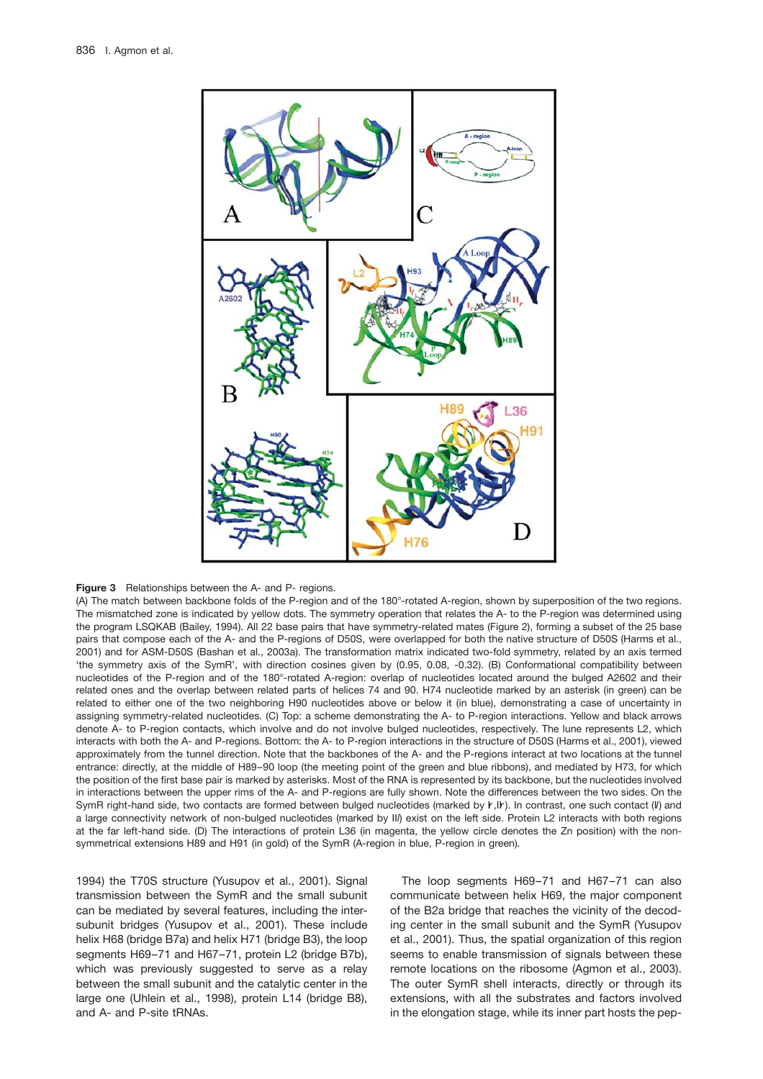

#### **Figure 3** Relationships between the A- and P- regions.

(A) The match between backbone folds of the P-region and of the 180 $^{\circ}$ -rotated A-region, shown by superposition of the two regions. The mismatched zone is indicated by yellow dots. The symmetry operation that relates the A- to the P-region was determined using the program LSQKAB (Bailey, 1994). All 22 base pairs that have symmetry-related mates (Figure 2), forming a subset of the 25 base pairs that compose each of the A- and the P-regions of D50S, were overlapped for both the native structure of D50S (Harms et al., 2001) and for ASM-D50S (Bashan et al., 2003a). The transformation matrix indicated two-fold symmetry, related by an axis termed 'the symmetry axis of the SymR', with direction cosines given by (0.95, 0.08, -0.32). (B) Conformational compatibility between nucleotides of the P-region and of the 180°-rotated A-region: overlap of nucleotides located around the bulged A2602 and their related ones and the overlap between related parts of helices 74 and 90. H74 nucleotide marked by an asterisk (in green) can be related to either one of the two neighboring H90 nucleotides above or below it (in blue), demonstrating a case of uncertainty in assigning symmetry-related nucleotides. (C) Top: a scheme demonstrating the A- to P-region interactions. Yellow and black arrows denote A- to P-region contacts, which involve and do not involve bulged nucleotides, respectively. The lune represents L2, which interacts with both the A- and P-regions. Bottom: the A- to P-region interactions in the structure of D50S (Harms et al., 2001), viewed approximately from the tunnel direction. Note that the backbones of the A- and the P-regions interact at two locations at the tunnel entrance: directly, at the middle of H89–90 loop (the meeting point of the green and blue ribbons), and mediated by H73, for which the position of the first base pair is marked by asterisks. Most of the RNA is represented by its backbone, but the nucleotides involved in interactions between the upper rims of the A- and P-regions are fully shown. Note the differences between the two sides. On the SymR right-hand side, two contacts are formed between bulged nucleotides (marked by  $r, Ir$ ). In contrast, one such contact (II) and a large connectivity network of non-bulged nucleotides (marked by II*l*) exist on the left side. Protein L2 interacts with both regions at the far left-hand side. (D) The interactions of protein L36 (in magenta, the yellow circle denotes the Zn position) with the nonsymmetrical extensions H89 and H91 (in gold) of the SymR (A-region in blue, P-region in green).

1994) the T70S structure (Yusupov et al., 2001). Signal transmission between the SymR and the small subunit can be mediated by several features, including the intersubunit bridges (Yusupov et al., 2001). These include helix H68 (bridge B7a) and helix H71 (bridge B3), the loop segments H69-71 and H67-71, protein L2 (bridge B7b), which was previously suggested to serve as a relay between the small subunit and the catalytic center in the large one (Uhlein et al., 1998), protein L14 (bridge B8), and A- and P-site tRNAs.

The loop segments H69–71 and H67–71 can also communicate between helix H69, the major component of the B2a bridge that reaches the vicinity of the decoding center in the small subunit and the SymR (Yusupov et al., 2001). Thus, the spatial organization of this region seems to enable transmission of signals between these remote locations on the ribosome (Agmon et al., 2003). The outer SymR shell interacts, directly or through its extensions, with all the substrates and factors involved in the elongation stage, while its inner part hosts the pep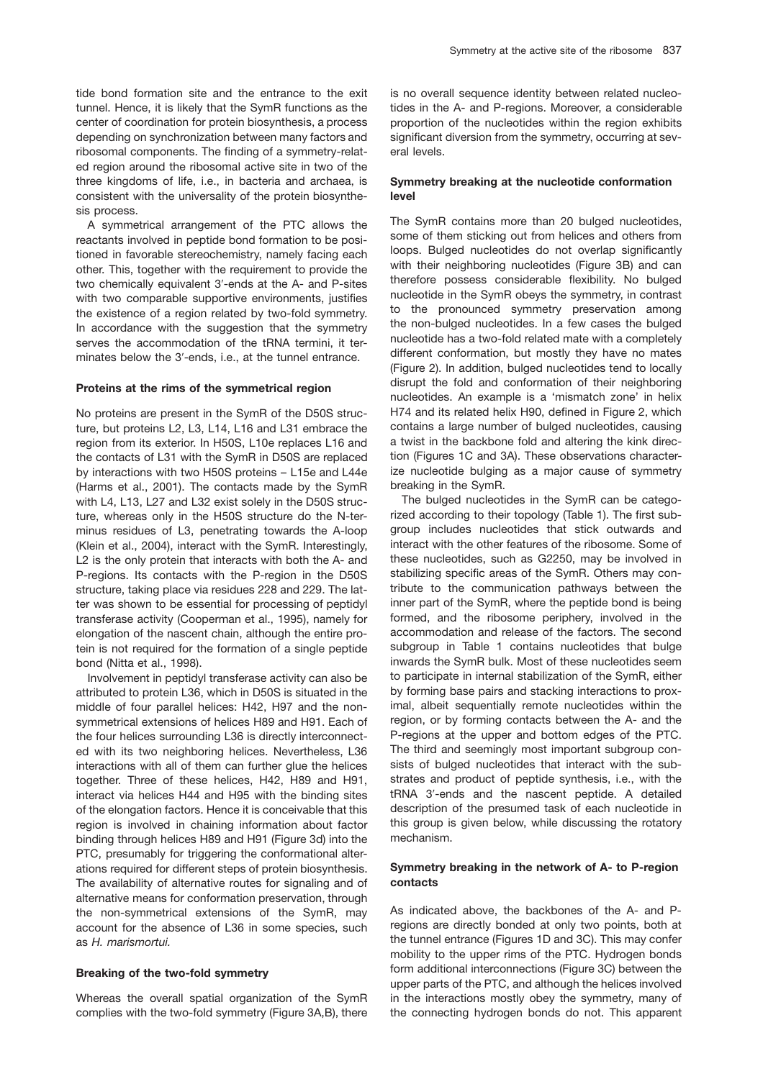tide bond formation site and the entrance to the exit tunnel. Hence, it is likely that the SymR functions as the center of coordination for protein biosynthesis, a process depending on synchronization between many factors and ribosomal components. The finding of a symmetry-related region around the ribosomal active site in two of the three kingdoms of life, i.e., in bacteria and archaea, is consistent with the universality of the protein biosynthesis process.

A symmetrical arrangement of the PTC allows the reactants involved in peptide bond formation to be positioned in favorable stereochemistry, namely facing each other. This, together with the requirement to provide the two chemically equivalent 3'-ends at the A- and P-sites with two comparable supportive environments, justifies the existence of a region related by two-fold symmetry. In accordance with the suggestion that the symmetry serves the accommodation of the tRNA termini, it terminates below the 3'-ends, i.e., at the tunnel entrance.

#### **Proteins at the rims of the symmetrical region**

No proteins are present in the SymR of the D50S structure, but proteins L2, L3, L14, L16 and L31 embrace the region from its exterior. In H50S, L10e replaces L16 and the contacts of L31 with the SymR in D50S are replaced by interactions with two H50S proteins – L15e and L44e (Harms et al., 2001). The contacts made by the SymR with L4, L13, L27 and L32 exist solely in the D50S structure, whereas only in the H50S structure do the N-terminus residues of L3, penetrating towards the A-loop (Klein et al., 2004), interact with the SymR. Interestingly, L2 is the only protein that interacts with both the A- and P-regions. Its contacts with the P-region in the D50S structure, taking place via residues 228 and 229. The latter was shown to be essential for processing of peptidyl transferase activity (Cooperman et al., 1995), namely for elongation of the nascent chain, although the entire protein is not required for the formation of a single peptide bond (Nitta et al., 1998).

Involvement in peptidyl transferase activity can also be attributed to protein L36, which in D50S is situated in the middle of four parallel helices: H42, H97 and the nonsymmetrical extensions of helices H89 and H91. Each of the four helices surrounding L36 is directly interconnected with its two neighboring helices. Nevertheless, L36 interactions with all of them can further glue the helices together. Three of these helices, H42, H89 and H91, interact via helices H44 and H95 with the binding sites of the elongation factors. Hence it is conceivable that this region is involved in chaining information about factor binding through helices H89 and H91 (Figure 3d) into the PTC, presumably for triggering the conformational alterations required for different steps of protein biosynthesis. The availability of alternative routes for signaling and of alternative means for conformation preservation, through the non-symmetrical extensions of the SymR, may account for the absence of L36 in some species, such as *H. marismortui.*

# **Breaking of the two-fold symmetry**

Whereas the overall spatial organization of the SymR complies with the two-fold symmetry (Figure 3A,B), there is no overall sequence identity between related nucleotides in the A- and P-regions. Moreover, a considerable proportion of the nucleotides within the region exhibits significant diversion from the symmetry, occurring at several levels.

# **Symmetry breaking at the nucleotide conformation level**

The SymR contains more than 20 bulged nucleotides, some of them sticking out from helices and others from loops. Bulged nucleotides do not overlap significantly with their neighboring nucleotides (Figure 3B) and can therefore possess considerable flexibility. No bulged nucleotide in the SymR obeys the symmetry, in contrast to the pronounced symmetry preservation among the non-bulged nucleotides. In a few cases the bulged nucleotide has a two-fold related mate with a completely different conformation, but mostly they have no mates (Figure 2). In addition, bulged nucleotides tend to locally disrupt the fold and conformation of their neighboring nucleotides. An example is a 'mismatch zone' in helix H74 and its related helix H90, defined in Figure 2, which contains a large number of bulged nucleotides, causing a twist in the backbone fold and altering the kink direction (Figures 1C and 3A). These observations characterize nucleotide bulging as a major cause of symmetry breaking in the SymR.

The bulged nucleotides in the SymR can be categorized according to their topology (Table 1). The first subgroup includes nucleotides that stick outwards and interact with the other features of the ribosome. Some of these nucleotides, such as G2250, may be involved in stabilizing specific areas of the SymR. Others may contribute to the communication pathways between the inner part of the SymR, where the peptide bond is being formed, and the ribosome periphery, involved in the accommodation and release of the factors. The second subgroup in Table 1 contains nucleotides that bulge inwards the SymR bulk. Most of these nucleotides seem to participate in internal stabilization of the SymR, either by forming base pairs and stacking interactions to proximal, albeit sequentially remote nucleotides within the region, or by forming contacts between the A- and the P-regions at the upper and bottom edges of the PTC. The third and seemingly most important subgroup consists of bulged nucleotides that interact with the substrates and product of peptide synthesis, i.e., with the tRNA 3'-ends and the nascent peptide. A detailed description of the presumed task of each nucleotide in this group is given below, while discussing the rotatory mechanism.

# **Symmetry breaking in the network of A- to P-region contacts**

As indicated above, the backbones of the A- and Pregions are directly bonded at only two points, both at the tunnel entrance (Figures 1D and 3C). This may confer mobility to the upper rims of the PTC. Hydrogen bonds form additional interconnections (Figure 3C) between the upper parts of the PTC, and although the helices involved in the interactions mostly obey the symmetry, many of the connecting hydrogen bonds do not. This apparent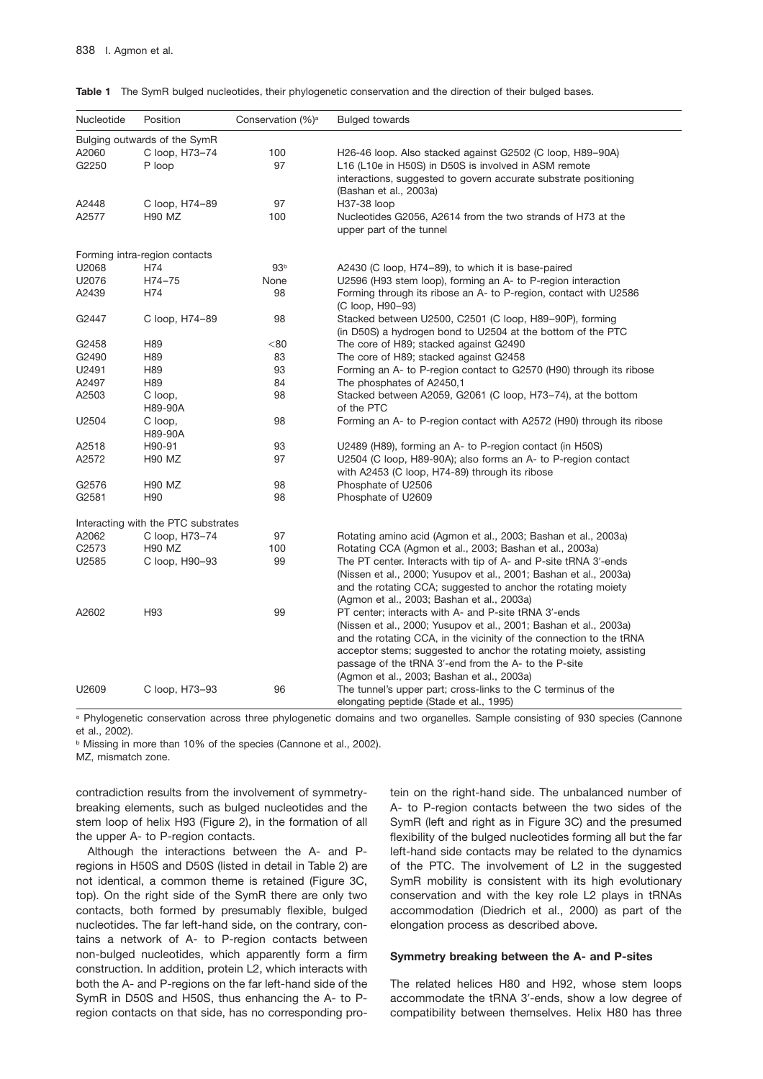| Nucleotide        | Position                            | Conservation (%) <sup>a</sup> | <b>Bulged towards</b>                                                 |
|-------------------|-------------------------------------|-------------------------------|-----------------------------------------------------------------------|
|                   | Bulging outwards of the SymR        |                               |                                                                       |
| A2060             | C loop, H73-74                      | 100                           | H26-46 loop. Also stacked against G2502 (C loop, H89-90A)             |
| G2250             | P loop                              | 97                            | L16 (L10e in H50S) in D50S is involved in ASM remote                  |
|                   |                                     |                               | interactions, suggested to govern accurate substrate positioning      |
|                   |                                     |                               | (Bashan et al., 2003a)                                                |
| A2448             | C loop, H74-89                      | 97                            | H37-38 loop                                                           |
| A2577             | H <sub>90</sub> M <sub>Z</sub>      | 100                           | Nucleotides G2056, A2614 from the two strands of H73 at the           |
|                   |                                     |                               | upper part of the tunnel                                              |
|                   | Forming intra-region contacts       |                               |                                                                       |
| U2068             | H74                                 | 93 <sup>b</sup>               | A2430 (C loop, H74–89), to which it is base-paired                    |
| U2076             | H74-75                              | None                          | U2596 (H93 stem loop), forming an A- to P-region interaction          |
| A2439             | H74                                 | 98                            | Forming through its ribose an A- to P-region, contact with U2586      |
|                   |                                     |                               | (C loop, H90-93)                                                      |
| G2447             | C loop, H74-89                      | 98                            | Stacked between U2500, C2501 (C loop, H89-90P), forming               |
|                   |                                     |                               | (in D50S) a hydrogen bond to U2504 at the bottom of the PTC           |
| G2458             | H89                                 | $80$                          | The core of H89; stacked against G2490                                |
| G2490             | H89                                 | 83                            | The core of H89; stacked against G2458                                |
| U2491             | H89                                 | 93                            | Forming an A- to P-region contact to G2570 (H90) through its ribose   |
| A2497             | H89                                 | 84                            | The phosphates of A2450,1                                             |
| A2503             | C loop,                             | 98                            | Stacked between A2059, G2061 (C loop, H73–74), at the bottom          |
|                   | H89-90A                             |                               | of the PTC                                                            |
| U2504             | C loop,                             | 98                            | Forming an A- to P-region contact with A2572 (H90) through its ribose |
|                   | H89-90A                             |                               |                                                                       |
| A2518             | H90-91                              | 93                            | U2489 (H89), forming an A- to P-region contact (in H50S)              |
| A2572             | <b>H90 MZ</b>                       | 97                            | U2504 (C loop, H89-90A); also forms an A- to P-region contact         |
|                   |                                     |                               | with A2453 (C loop, H74-89) through its ribose                        |
| G2576             | <b>H90 MZ</b>                       | 98                            | Phosphate of U2506                                                    |
| G2581             | H <sub>90</sub>                     | 98                            | Phosphate of U2609                                                    |
|                   |                                     |                               |                                                                       |
|                   | Interacting with the PTC substrates |                               |                                                                       |
| A2062             | C loop, H73-74                      | 97                            | Rotating amino acid (Agmon et al., 2003; Bashan et al., 2003a)        |
| C <sub>2573</sub> | <b>H90 MZ</b>                       | 100                           | Rotating CCA (Agmon et al., 2003; Bashan et al., 2003a)               |
| U2585             | C loop, H90-93                      | 99                            | The PT center. Interacts with tip of A- and P-site tRNA 3'-ends       |
|                   |                                     |                               | (Nissen et al., 2000; Yusupov et al., 2001; Bashan et al., 2003a)     |
|                   |                                     |                               | and the rotating CCA; suggested to anchor the rotating moiety         |
|                   |                                     |                               | (Agmon et al., 2003; Bashan et al., 2003a)                            |
| A2602             | H <sub>93</sub>                     | 99                            | PT center; interacts with A- and P-site tRNA 3'-ends                  |
|                   |                                     |                               | (Nissen et al., 2000; Yusupov et al., 2001; Bashan et al., 2003a)     |
|                   |                                     |                               | and the rotating CCA, in the vicinity of the connection to the tRNA   |
|                   |                                     |                               | acceptor stems; suggested to anchor the rotating moiety, assisting    |
|                   |                                     |                               | passage of the tRNA 3'-end from the A- to the P-site                  |
|                   |                                     |                               | (Agmon et al., 2003; Bashan et al., 2003a)                            |
| U2609             | C loop, H73-93                      | 96                            | The tunnel's upper part; cross-links to the C terminus of the         |
|                   |                                     |                               | elongating peptide (Stade et al., 1995)                               |

|  |  | Table 1 The SymR bulged nucleotides, their phylogenetic conservation and the direction of their bulged bases. |  |
|--|--|---------------------------------------------------------------------------------------------------------------|--|
|  |  |                                                                                                               |  |

a Phylogenetic conservation across three phylogenetic domains and two organelles. Sample consisting of 930 species (Cannone et al., 2002).

**b Missing in more than 10% of the species (Cannone et al., 2002).** 

MZ, mismatch zone.

contradiction results from the involvement of symmetrybreaking elements, such as bulged nucleotides and the stem loop of helix H93 (Figure 2), in the formation of all the upper A- to P-region contacts.

Although the interactions between the A- and Pregions in H50S and D50S (listed in detail in Table 2) are not identical, a common theme is retained (Figure 3C, top). On the right side of the SymR there are only two contacts, both formed by presumably flexible, bulged nucleotides. The far left-hand side, on the contrary, contains a network of A- to P-region contacts between non-bulged nucleotides, which apparently form a firm construction. In addition, protein L2, which interacts with both the A- and P-regions on the far left-hand side of the SymR in D50S and H50S, thus enhancing the A- to Pregion contacts on that side, has no corresponding protein on the right-hand side. The unbalanced number of A- to P-region contacts between the two sides of the SymR (left and right as in Figure 3C) and the presumed flexibility of the bulged nucleotides forming all but the far left-hand side contacts may be related to the dynamics of the PTC. The involvement of L2 in the suggested SymR mobility is consistent with its high evolutionary conservation and with the key role L2 plays in tRNAs accommodation (Diedrich et al., 2000) as part of the elongation process as described above.

## **Symmetry breaking between the A- and P-sites**

The related helices H80 and H92, whose stem loops accommodate the tRNA 3'-ends, show a low degree of compatibility between themselves. Helix H80 has three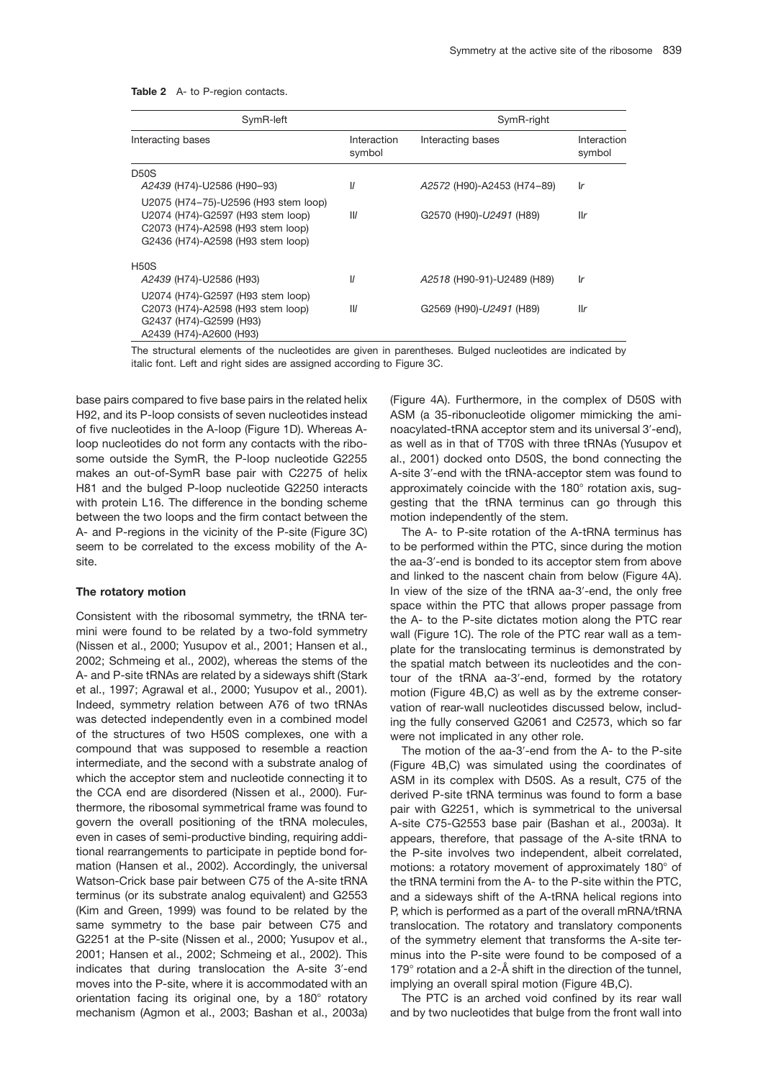Table 2 A- to P-region contacts.

| SymR-left                                                                                                                                           |                         | SymR-right                 |                       |  |
|-----------------------------------------------------------------------------------------------------------------------------------------------------|-------------------------|----------------------------|-----------------------|--|
| Interacting bases                                                                                                                                   | Interaction<br>symbol   | Interacting bases          | Interaction<br>symbol |  |
| <b>D50S</b>                                                                                                                                         |                         |                            |                       |  |
| A2439 (H74)-U2586 (H90-93)                                                                                                                          | $\mathcal{U}$           | A2572 (H90)-A2453 (H74-89) | Ir                    |  |
| U2075 (H74-75)-U2596 (H93 stem loop)<br>U2074 (H74)-G2597 (H93 stem loop)<br>C2073 (H74)-A2598 (H93 stem loop)<br>G2436 (H74)-A2598 (H93 stem loop) | $\mathsf{I} \mathsf{I}$ | G2570 (H90)-U2491 (H89)    | llr                   |  |
| <b>H50S</b>                                                                                                                                         |                         |                            |                       |  |
| A2439 (H74)-U2586 (H93)                                                                                                                             | $\mathcal{U}$           | A2518 (H90-91)-U2489 (H89) | Ir                    |  |
| U2074 (H74)-G2597 (H93 stem loop)<br>C2073 (H74)-A2598 (H93 stem loop)<br>G2437 (H74)-G2599 (H93)<br>A2439 (H74)-A2600 (H93)                        | $\mathsf{II}$           | G2569 (H90)-U2491 (H89)    | llr                   |  |

The structural elements of the nucleotides are given in parentheses. Bulged nucleotides are indicated by italic font. Left and right sides are assigned according to Figure 3C.

base pairs compared to five base pairs in the related helix H92, and its P-loop consists of seven nucleotides instead of five nucleotides in the A-loop (Figure 1D). Whereas Aloop nucleotides do not form any contacts with the ribosome outside the SymR, the P-loop nucleotide G2255 makes an out-of-SymR base pair with C2275 of helix H81 and the bulged P-loop nucleotide G2250 interacts with protein L16. The difference in the bonding scheme between the two loops and the firm contact between the A- and P-regions in the vicinity of the P-site (Figure 3C) seem to be correlated to the excess mobility of the Asite.

#### **The rotatory motion**

Consistent with the ribosomal symmetry, the tRNA termini were found to be related by a two-fold symmetry (Nissen et al., 2000; Yusupov et al., 2001; Hansen et al., 2002; Schmeing et al., 2002), whereas the stems of the A- and P-site tRNAs are related by a sideways shift (Stark et al., 1997; Agrawal et al., 2000; Yusupov et al., 2001). Indeed, symmetry relation between A76 of two tRNAs was detected independently even in a combined model of the structures of two H50S complexes, one with a compound that was supposed to resemble a reaction intermediate, and the second with a substrate analog of which the acceptor stem and nucleotide connecting it to the CCA end are disordered (Nissen et al., 2000). Furthermore, the ribosomal symmetrical frame was found to govern the overall positioning of the tRNA molecules, even in cases of semi-productive binding, requiring additional rearrangements to participate in peptide bond formation (Hansen et al., 2002). Accordingly, the universal Watson-Crick base pair between C75 of the A-site tRNA terminus (or its substrate analog equivalent) and G2553 (Kim and Green, 1999) was found to be related by the same symmetry to the base pair between C75 and G2251 at the P-site (Nissen et al., 2000; Yusupov et al., 2001; Hansen et al., 2002; Schmeing et al., 2002). This indicates that during translocation the A-site 3'-end moves into the P-site, where it is accommodated with an orientation facing its original one, by a  $180^\circ$  rotatory mechanism (Agmon et al., 2003; Bashan et al., 2003a)

(Figure 4A). Furthermore, in the complex of D50S with ASM (a 35-ribonucleotide oligomer mimicking the aminoacylated-tRNA acceptor stem and its universal 3'-end), as well as in that of T70S with three tRNAs (Yusupov et al., 2001) docked onto D50S, the bond connecting the A-site 3'-end with the tRNA-acceptor stem was found to approximately coincide with the  $180^\circ$  rotation axis, suggesting that the tRNA terminus can go through this motion independently of the stem.

The A- to P-site rotation of the A-tRNA terminus has to be performed within the PTC, since during the motion the aa-3'-end is bonded to its acceptor stem from above and linked to the nascent chain from below (Figure 4A). In view of the size of the tRNA aa-3'-end, the only free space within the PTC that allows proper passage from the A- to the P-site dictates motion along the PTC rear wall (Figure 1C). The role of the PTC rear wall as a template for the translocating terminus is demonstrated by the spatial match between its nucleotides and the contour of the tRNA aa-3'-end, formed by the rotatory motion (Figure 4B,C) as well as by the extreme conservation of rear-wall nucleotides discussed below, including the fully conserved G2061 and C2573, which so far were not implicated in any other role.

The motion of the aa-3'-end from the A- to the P-site (Figure 4B,C) was simulated using the coordinates of ASM in its complex with D50S. As a result, C75 of the derived P-site tRNA terminus was found to form a base pair with G2251, which is symmetrical to the universal A-site C75-G2553 base pair (Bashan et al., 2003a). It appears, therefore, that passage of the A-site tRNA to the P-site involves two independent, albeit correlated, motions: a rotatory movement of approximately  $180^\circ$  of the tRNA termini from the A- to the P-site within the PTC, and a sideways shift of the A-tRNA helical regions into P, which is performed as a part of the overall mRNA/tRNA translocation. The rotatory and translatory components of the symmetry element that transforms the A-site terminus into the P-site were found to be composed of a 179 $\degree$  rotation and a 2- $\AA$  shift in the direction of the tunnel, implying an overall spiral motion (Figure 4B,C).

The PTC is an arched void confined by its rear wall and by two nucleotides that bulge from the front wall into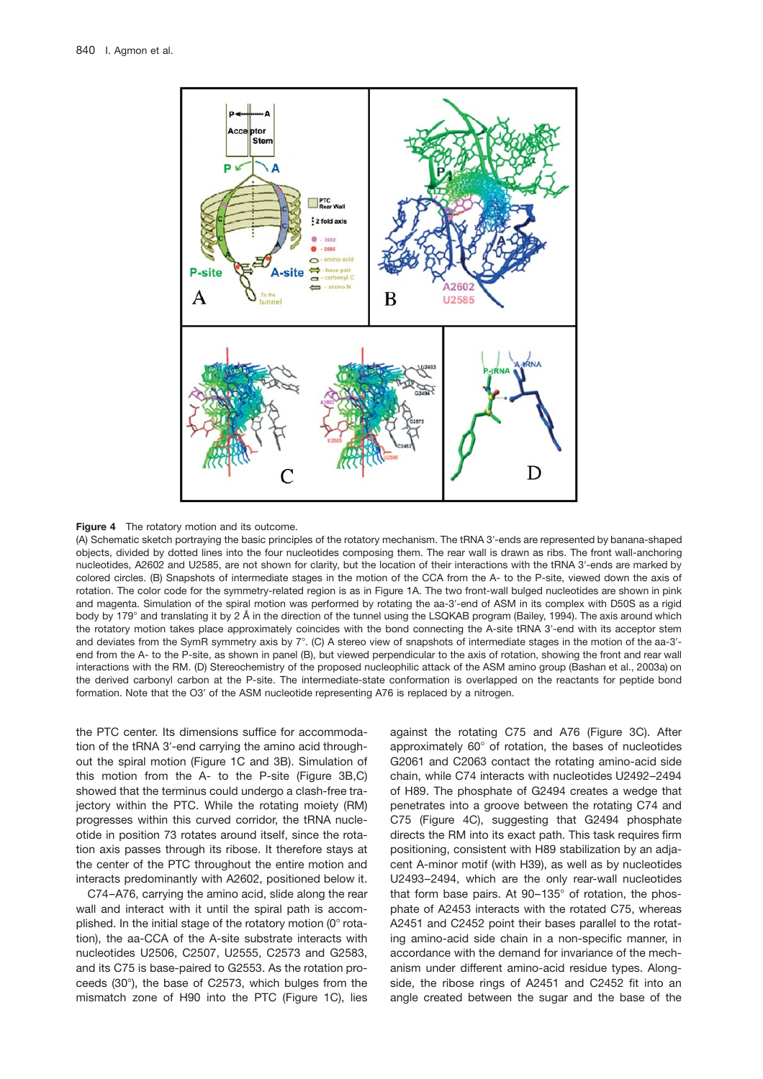



(A) Schematic sketch portraying the basic principles of the rotatory mechanism. The tRNA 3'-ends are represented by banana-shaped objects, divided by dotted lines into the four nucleotides composing them. The rear wall is drawn as ribs. The front wall-anchoring nucleotides, A2602 and U2585, are not shown for clarity, but the location of their interactions with the tRNA 3'-ends are marked by colored circles. (B) Snapshots of intermediate stages in the motion of the CCA from the A- to the P-site, viewed down the axis of rotation. The color code for the symmetry-related region is as in Figure 1A. The two front-wall bulged nucleotides are shown in pink and magenta. Simulation of the spiral motion was performed by rotating the aa-3'-end of ASM in its complex with D50S as a rigid body by 179° and translating it by 2 Å in the direction of the tunnel using the LSQKAB program (Bailey, 1994). The axis around which the rotatory motion takes place approximately coincides with the bond connecting the A-site tRNA 3'-end with its acceptor stem and deviates from the SymR symmetry axis by  $7^\circ$ . (C) A stereo view of snapshots of intermediate stages in the motion of the aa-3'end from the A- to the P-site, as shown in panel (B), but viewed perpendicular to the axis of rotation, showing the front and rear wall interactions with the RM. (D) Stereochemistry of the proposed nucleophilic attack of the ASM amino group (Bashan et al., 2003a) on the derived carbonyl carbon at the P-site. The intermediate-state conformation is overlapped on the reactants for peptide bond formation. Note that the O3' of the ASM nucleotide representing A76 is replaced by a nitrogen.

the PTC center. Its dimensions suffice for accommodation of the tRNA 3'-end carrying the amino acid throughout the spiral motion (Figure 1C and 3B). Simulation of this motion from the A- to the P-site (Figure 3B,C) showed that the terminus could undergo a clash-free trajectory within the PTC. While the rotating moiety (RM) progresses within this curved corridor, the tRNA nucleotide in position 73 rotates around itself, since the rotation axis passes through its ribose. It therefore stays at the center of the PTC throughout the entire motion and interacts predominantly with A2602, positioned below it.

C74–A76, carrying the amino acid, slide along the rear wall and interact with it until the spiral path is accomplished. In the initial stage of the rotatory motion  $(0^{\circ}$  rotation), the aa-CCA of the A-site substrate interacts with nucleotides U2506, C2507, U2555, C2573 and G2583, and its C75 is base-paired to G2553. As the rotation proceeds  $(30^{\circ})$ , the base of C2573, which bulges from the mismatch zone of H90 into the PTC (Figure 1C), lies against the rotating C75 and A76 (Figure 3C). After approximately 60° of rotation, the bases of nucleotides G2061 and C2063 contact the rotating amino-acid side chain, while C74 interacts with nucleotides U2492–2494 of H89. The phosphate of G2494 creates a wedge that penetrates into a groove between the rotating C74 and C75 (Figure 4C), suggesting that G2494 phosphate directs the RM into its exact path. This task requires firm positioning, consistent with H89 stabilization by an adjacent A-minor motif (with H39), as well as by nucleotides U2493–2494, which are the only rear-wall nucleotides that form base pairs. At  $90-135^\circ$  of rotation, the phosphate of A2453 interacts with the rotated C75, whereas A2451 and C2452 point their bases parallel to the rotating amino-acid side chain in a non-specific manner, in accordance with the demand for invariance of the mechanism under different amino-acid residue types. Alongside, the ribose rings of A2451 and C2452 fit into an angle created between the sugar and the base of the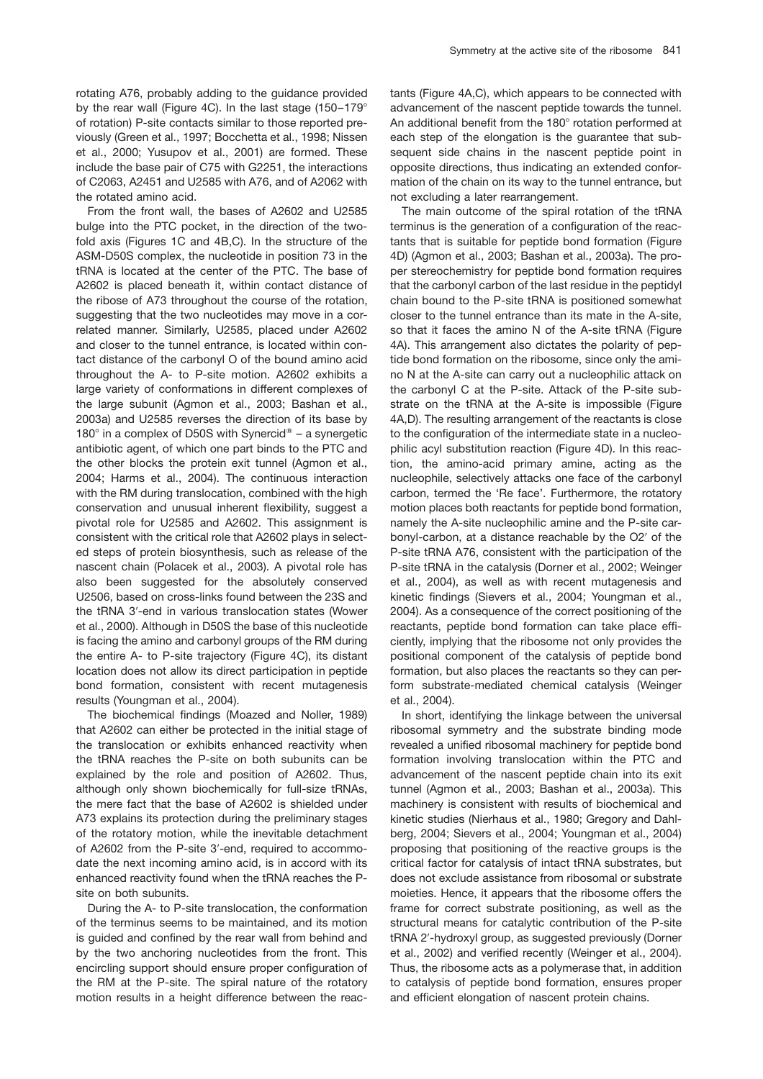rotating A76, probably adding to the guidance provided by the rear wall (Figure 4C). In the last stage  $(150-179^\circ)$ of rotation) P-site contacts similar to those reported previously (Green et al., 1997; Bocchetta et al., 1998; Nissen et al., 2000; Yusupov et al., 2001) are formed. These include the base pair of C75 with G2251, the interactions of C2063, A2451 and U2585 with A76, and of A2062 with the rotated amino acid.

From the front wall, the bases of A2602 and U2585 bulge into the PTC pocket, in the direction of the twofold axis (Figures 1C and 4B,C). In the structure of the ASM-D50S complex, the nucleotide in position 73 in the tRNA is located at the center of the PTC. The base of A2602 is placed beneath it, within contact distance of the ribose of A73 throughout the course of the rotation, suggesting that the two nucleotides may move in a correlated manner. Similarly, U2585, placed under A2602 and closer to the tunnel entrance, is located within contact distance of the carbonyl O of the bound amino acid throughout the A- to P-site motion. A2602 exhibits a large variety of conformations in different complexes of the large subunit (Agmon et al., 2003; Bashan et al., 2003a) and U2585 reverses the direction of its base by 180 $^{\circ}$  in a complex of D50S with Synercid® – a synergetic antibiotic agent, of which one part binds to the PTC and the other blocks the protein exit tunnel (Agmon et al., 2004; Harms et al., 2004). The continuous interaction with the RM during translocation, combined with the high conservation and unusual inherent flexibility, suggest a pivotal role for U2585 and A2602. This assignment is consistent with the critical role that A2602 plays in selected steps of protein biosynthesis, such as release of the nascent chain (Polacek et al., 2003). A pivotal role has also been suggested for the absolutely conserved U2506, based on cross-links found between the 23S and the tRNA 3'-end in various translocation states (Wower et al., 2000). Although in D50S the base of this nucleotide is facing the amino and carbonyl groups of the RM during the entire A- to P-site trajectory (Figure 4C), its distant location does not allow its direct participation in peptide bond formation, consistent with recent mutagenesis results (Youngman et al., 2004).

The biochemical findings (Moazed and Noller, 1989) that A2602 can either be protected in the initial stage of the translocation or exhibits enhanced reactivity when the tRNA reaches the P-site on both subunits can be explained by the role and position of A2602. Thus, although only shown biochemically for full-size tRNAs, the mere fact that the base of A2602 is shielded under A73 explains its protection during the preliminary stages of the rotatory motion, while the inevitable detachment of A2602 from the P-site 3'-end, required to accommodate the next incoming amino acid, is in accord with its enhanced reactivity found when the tRNA reaches the Psite on both subunits.

During the A- to P-site translocation, the conformation of the terminus seems to be maintained, and its motion is guided and confined by the rear wall from behind and by the two anchoring nucleotides from the front. This encircling support should ensure proper configuration of the RM at the P-site. The spiral nature of the rotatory motion results in a height difference between the reactants (Figure 4A,C), which appears to be connected with advancement of the nascent peptide towards the tunnel. An additional benefit from the  $180^\circ$  rotation performed at each step of the elongation is the guarantee that subsequent side chains in the nascent peptide point in opposite directions, thus indicating an extended conformation of the chain on its way to the tunnel entrance, but not excluding a later rearrangement.

The main outcome of the spiral rotation of the tRNA terminus is the generation of a configuration of the reactants that is suitable for peptide bond formation (Figure 4D) (Agmon et al., 2003; Bashan et al., 2003a). The proper stereochemistry for peptide bond formation requires that the carbonyl carbon of the last residue in the peptidyl chain bound to the P-site tRNA is positioned somewhat closer to the tunnel entrance than its mate in the A-site, so that it faces the amino N of the A-site tRNA (Figure 4A). This arrangement also dictates the polarity of peptide bond formation on the ribosome, since only the amino N at the A-site can carry out a nucleophilic attack on the carbonyl C at the P-site. Attack of the P-site substrate on the tRNA at the A-site is impossible (Figure 4A,D). The resulting arrangement of the reactants is close to the configuration of the intermediate state in a nucleophilic acyl substitution reaction (Figure 4D). In this reaction, the amino-acid primary amine, acting as the nucleophile, selectively attacks one face of the carbonyl carbon, termed the 'Re face'. Furthermore, the rotatory motion places both reactants for peptide bond formation, namely the A-site nucleophilic amine and the P-site carbonyl-carbon, at a distance reachable by the O2' of the P-site tRNA A76, consistent with the participation of the P-site tRNA in the catalysis (Dorner et al., 2002; Weinger et al., 2004), as well as with recent mutagenesis and kinetic findings (Sievers et al., 2004; Youngman et al., 2004). As a consequence of the correct positioning of the reactants, peptide bond formation can take place efficiently, implying that the ribosome not only provides the positional component of the catalysis of peptide bond formation, but also places the reactants so they can perform substrate-mediated chemical catalysis (Weinger et al., 2004).

In short, identifying the linkage between the universal ribosomal symmetry and the substrate binding mode revealed a unified ribosomal machinery for peptide bond formation involving translocation within the PTC and advancement of the nascent peptide chain into its exit tunnel (Agmon et al., 2003; Bashan et al., 2003a). This machinery is consistent with results of biochemical and kinetic studies (Nierhaus et al., 1980; Gregory and Dahlberg, 2004; Sievers et al., 2004; Youngman et al., 2004) proposing that positioning of the reactive groups is the critical factor for catalysis of intact tRNA substrates, but does not exclude assistance from ribosomal or substrate moieties. Hence, it appears that the ribosome offers the frame for correct substrate positioning, as well as the structural means for catalytic contribution of the P-site tRNA 2'-hydroxyl group, as suggested previously (Dorner et al., 2002) and verified recently (Weinger et al., 2004). Thus, the ribosome acts as a polymerase that, in addition to catalysis of peptide bond formation, ensures proper and efficient elongation of nascent protein chains.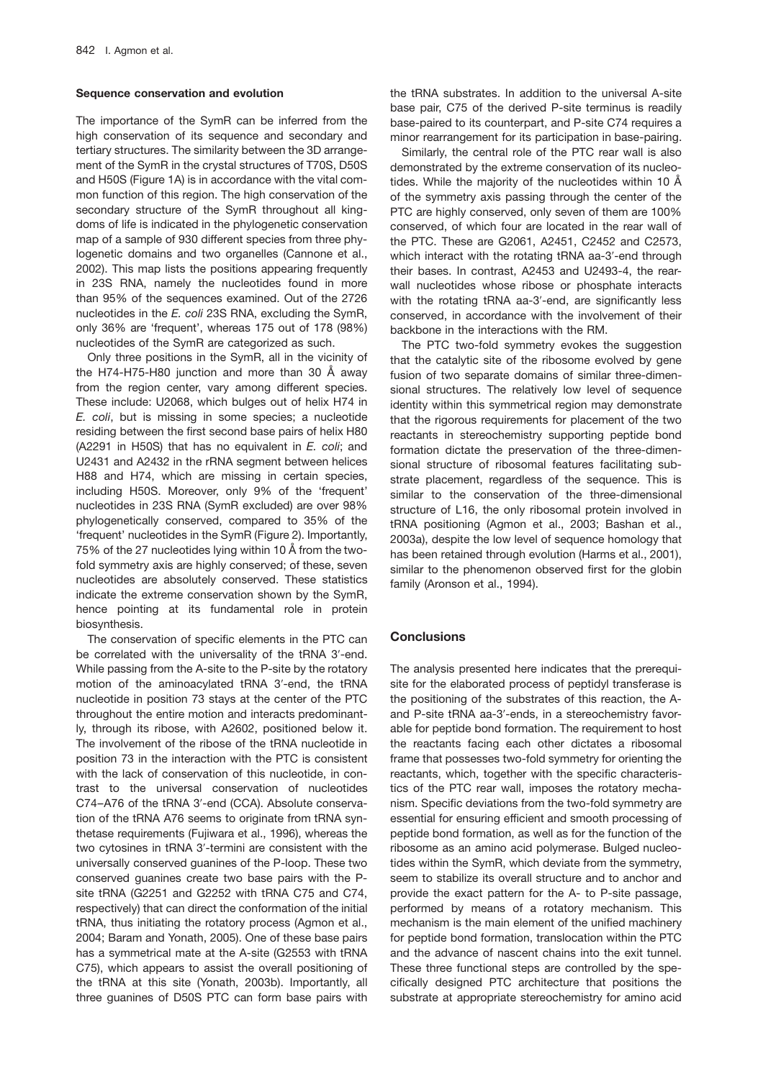## **Sequence conservation and evolution**

The importance of the SymR can be inferred from the high conservation of its sequence and secondary and tertiary structures. The similarity between the 3D arrangement of the SymR in the crystal structures of T70S, D50S and H50S (Figure 1A) is in accordance with the vital common function of this region. The high conservation of the secondary structure of the SymR throughout all kingdoms of life is indicated in the phylogenetic conservation map of a sample of 930 different species from three phylogenetic domains and two organelles (Cannone et al., 2002). This map lists the positions appearing frequently in 23S RNA, namely the nucleotides found in more than 95% of the sequences examined. Out of the 2726 nucleotides in the *E. coli* 23S RNA, excluding the SymR, only 36% are 'frequent', whereas 175 out of 178 (98%) nucleotides of the SymR are categorized as such.

Only three positions in the SymR, all in the vicinity of the H74-H75-H80 junction and more than 30  $\AA$  away from the region center, vary among different species. These include: U2068, which bulges out of helix H74 in *E. coli*, but is missing in some species; a nucleotide residing between the first second base pairs of helix H80 (A2291 in H50S) that has no equivalent in *E. coli*; and U2431 and A2432 in the rRNA segment between helices H88 and H74, which are missing in certain species, including H50S. Moreover, only 9% of the 'frequent' nucleotides in 23S RNA (SymR excluded) are over 98% phylogenetically conserved, compared to 35% of the 'frequent' nucleotides in the SymR (Figure 2). Importantly, 75% of the 27 nucleotides lying within 10 Å from the twofold symmetry axis are highly conserved; of these, seven nucleotides are absolutely conserved. These statistics indicate the extreme conservation shown by the SymR, hence pointing at its fundamental role in protein biosynthesis.

The conservation of specific elements in the PTC can be correlated with the universality of the tRNA 3'-end. While passing from the A-site to the P-site by the rotatory motion of the aminoacylated tRNA 3'-end, the tRNA nucleotide in position 73 stays at the center of the PTC throughout the entire motion and interacts predominantly, through its ribose, with A2602, positioned below it. The involvement of the ribose of the tRNA nucleotide in position 73 in the interaction with the PTC is consistent with the lack of conservation of this nucleotide, in contrast to the universal conservation of nucleotides C74-A76 of the tRNA 3'-end (CCA). Absolute conservation of the tRNA A76 seems to originate from tRNA synthetase requirements (Fujiwara et al., 1996), whereas the two cytosines in tRNA 3'-termini are consistent with the universally conserved guanines of the P-loop. These two conserved guanines create two base pairs with the Psite tRNA (G2251 and G2252 with tRNA C75 and C74, respectively) that can direct the conformation of the initial tRNA, thus initiating the rotatory process (Agmon et al., 2004; Baram and Yonath, 2005). One of these base pairs has a symmetrical mate at the A-site (G2553 with tRNA C75), which appears to assist the overall positioning of the tRNA at this site (Yonath, 2003b). Importantly, all three guanines of D50S PTC can form base pairs with

the tRNA substrates. In addition to the universal A-site base pair, C75 of the derived P-site terminus is readily base-paired to its counterpart, and P-site C74 requires a minor rearrangement for its participation in base-pairing.

Similarly, the central role of the PTC rear wall is also demonstrated by the extreme conservation of its nucleotides. While the majority of the nucleotides within 10 Å of the symmetry axis passing through the center of the PTC are highly conserved, only seven of them are 100% conserved, of which four are located in the rear wall of the PTC. These are G2061, A2451, C2452 and C2573, which interact with the rotating tRNA aa-3'-end through their bases. In contrast, A2453 and U2493-4, the rearwall nucleotides whose ribose or phosphate interacts with the rotating tRNA aa-3'-end, are significantly less conserved, in accordance with the involvement of their backbone in the interactions with the RM.

The PTC two-fold symmetry evokes the suggestion that the catalytic site of the ribosome evolved by gene fusion of two separate domains of similar three-dimensional structures. The relatively low level of sequence identity within this symmetrical region may demonstrate that the rigorous requirements for placement of the two reactants in stereochemistry supporting peptide bond formation dictate the preservation of the three-dimensional structure of ribosomal features facilitating substrate placement, regardless of the sequence. This is similar to the conservation of the three-dimensional structure of L16, the only ribosomal protein involved in tRNA positioning (Agmon et al., 2003; Bashan et al., 2003a), despite the low level of sequence homology that has been retained through evolution (Harms et al., 2001), similar to the phenomenon observed first for the globin family (Aronson et al., 1994).

# **Conclusions**

The analysis presented here indicates that the prerequisite for the elaborated process of peptidyl transferase is the positioning of the substrates of this reaction, the Aand P-site tRNA aa-3'-ends, in a stereochemistry favorable for peptide bond formation. The requirement to host the reactants facing each other dictates a ribosomal frame that possesses two-fold symmetry for orienting the reactants, which, together with the specific characteristics of the PTC rear wall, imposes the rotatory mechanism. Specific deviations from the two-fold symmetry are essential for ensuring efficient and smooth processing of peptide bond formation, as well as for the function of the ribosome as an amino acid polymerase. Bulged nucleotides within the SymR, which deviate from the symmetry, seem to stabilize its overall structure and to anchor and provide the exact pattern for the A- to P-site passage, performed by means of a rotatory mechanism. This mechanism is the main element of the unified machinery for peptide bond formation, translocation within the PTC and the advance of nascent chains into the exit tunnel. These three functional steps are controlled by the specifically designed PTC architecture that positions the substrate at appropriate stereochemistry for amino acid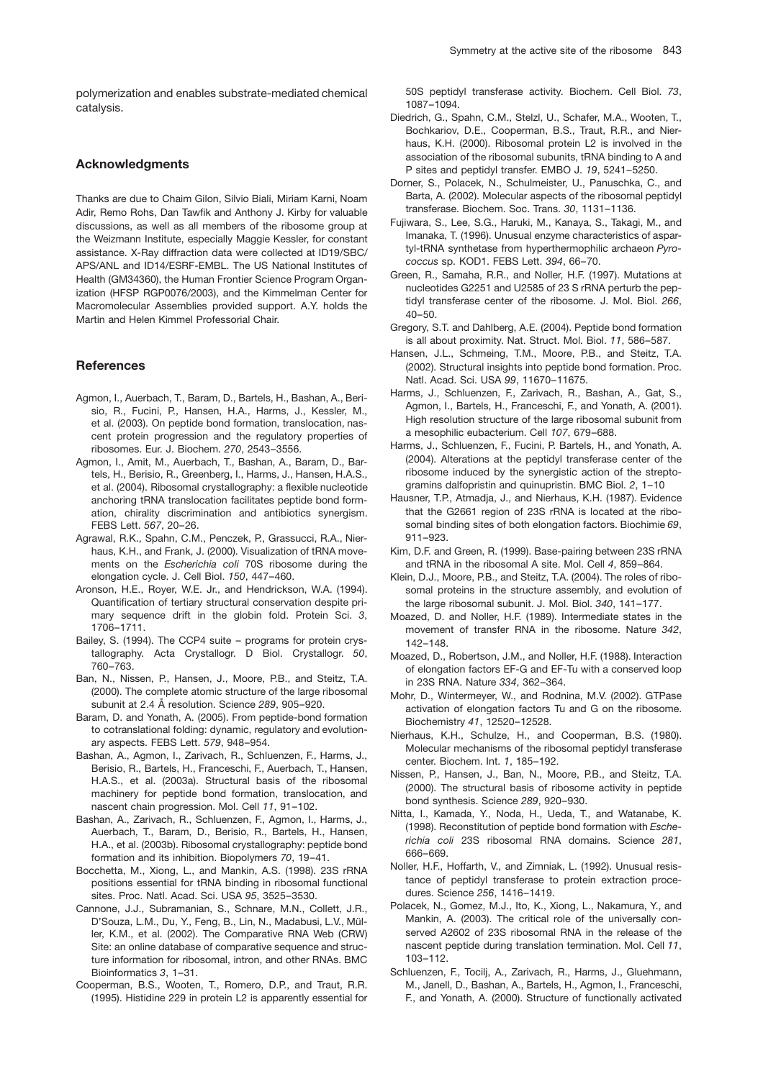polymerization and enables substrate-mediated chemical catalysis.

## **Acknowledgments**

Thanks are due to Chaim Gilon, Silvio Biali, Miriam Karni, Noam Adir, Remo Rohs, Dan Tawfik and Anthony J. Kirby for valuable discussions, as well as all members of the ribosome group at the Weizmann Institute, especially Maggie Kessler, for constant assistance. X-Ray diffraction data were collected at ID19/SBC/ APS/ANL and ID14/ESRF-EMBL. The US National Institutes of Health (GM34360), the Human Frontier Science Program Organization (HFSP RGP0076/2003), and the Kimmelman Center for Macromolecular Assemblies provided support. A.Y. holds the Martin and Helen Kimmel Professorial Chair.

#### **References**

- Agmon, I., Auerbach, T., Baram, D., Bartels, H., Bashan, A., Berisio, R., Fucini, P., Hansen, H.A., Harms, J., Kessler, M., et al. (2003). On peptide bond formation, translocation, nascent protein progression and the regulatory properties of ribosomes. Eur. J. Biochem. *270*, 2543–3556.
- Agmon, I., Amit, M., Auerbach, T., Bashan, A., Baram, D., Bartels, H., Berisio, R., Greenberg, I., Harms, J., Hansen, H.A.S., et al. (2004). Ribosomal crystallography: a flexible nucleotide anchoring tRNA translocation facilitates peptide bond formation, chirality discrimination and antibiotics synergism. FEBS Lett. *567*, 20–26.
- Agrawal, R.K., Spahn, C.M., Penczek, P., Grassucci, R.A., Nierhaus, K.H., and Frank, J. (2000). Visualization of tRNA movements on the *Escherichia coli* 70S ribosome during the elongation cycle. J. Cell Biol. *150*, 447–460.
- Aronson, H.E., Royer, W.E. Jr., and Hendrickson, W.A. (1994). Quantification of tertiary structural conservation despite primary sequence drift in the globin fold. Protein Sci. *3*, 1706–1711.
- Bailey, S. (1994). The CCP4 suite programs for protein crystallography. Acta Crystallogr. D Biol. Crystallogr. *50*, 760–763.
- Ban, N., Nissen, P., Hansen, J., Moore, P.B., and Steitz, T.A. (2000). The complete atomic structure of the large ribosomal subunit at 2.4 Å resolution. Science 289, 905–920.
- Baram, D. and Yonath, A. (2005). From peptide-bond formation to cotranslational folding: dynamic, regulatory and evolutionary aspects. FEBS Lett. *579*, 948–954.
- Bashan, A., Agmon, I., Zarivach, R., Schluenzen, F., Harms, J., Berisio, R., Bartels, H., Franceschi, F., Auerbach, T., Hansen, H.A.S., et al. (2003a). Structural basis of the ribosomal machinery for peptide bond formation, translocation, and nascent chain progression. Mol. Cell *11*, 91–102.
- Bashan, A., Zarivach, R., Schluenzen, F., Agmon, I., Harms, J., Auerbach, T., Baram, D., Berisio, R., Bartels, H., Hansen, H.A., et al. (2003b). Ribosomal crystallography: peptide bond formation and its inhibition. Biopolymers *70*, 19–41.
- Bocchetta, M., Xiong, L., and Mankin, A.S. (1998). 23S rRNA positions essential for tRNA binding in ribosomal functional sites. Proc. Natl. Acad. Sci. USA *95*, 3525–3530.
- Cannone, J.J., Subramanian, S., Schnare, M.N., Collett, J.R., D'Souza, L.M., Du, Y., Feng, B., Lin, N., Madabusi, L.V., Müller, K.M., et al. (2002). The Comparative RNA Web (CRW) Site: an online database of comparative sequence and structure information for ribosomal, intron, and other RNAs. BMC Bioinformatics *3*, 1–31.
- Cooperman, B.S., Wooten, T., Romero, D.P., and Traut, R.R. (1995). Histidine 229 in protein L2 is apparently essential for

50S peptidyl transferase activity. Biochem. Cell Biol. *73*, 1087–1094.

- Diedrich, G., Spahn, C.M., Stelzl, U., Schafer, M.A., Wooten, T., Bochkariov, D.E., Cooperman, B.S., Traut, R.R., and Nierhaus, K.H. (2000). Ribosomal protein L2 is involved in the association of the ribosomal subunits, tRNA binding to A and P sites and peptidyl transfer. EMBO J. *19*, 5241–5250.
- Dorner, S., Polacek, N., Schulmeister, U., Panuschka, C., and Barta, A. (2002). Molecular aspects of the ribosomal peptidyl transferase. Biochem. Soc. Trans. *30*, 1131–1136.
- Fujiwara, S., Lee, S.G., Haruki, M., Kanaya, S., Takagi, M., and Imanaka, T. (1996). Unusual enzyme characteristics of aspartyl-tRNA synthetase from hyperthermophilic archaeon *Pyrococcus* sp. KOD1. FEBS Lett. *394*, 66–70.
- Green, R., Samaha, R.R., and Noller, H.F. (1997). Mutations at nucleotides G2251 and U2585 of 23 S rRNA perturb the peptidyl transferase center of the ribosome. J. Mol. Biol. *266*, 40–50.
- Gregory, S.T. and Dahlberg, A.E. (2004). Peptide bond formation is all about proximity. Nat. Struct. Mol. Biol. *11*, 586–587.
- Hansen, J.L., Schmeing, T.M., Moore, P.B., and Steitz, T.A. (2002). Structural insights into peptide bond formation. Proc. Natl. Acad. Sci. USA *99*, 11670–11675.
- Harms, J., Schluenzen, F., Zarivach, R., Bashan, A., Gat, S., Agmon, I., Bartels, H., Franceschi, F., and Yonath, A. (2001). High resolution structure of the large ribosomal subunit from a mesophilic eubacterium. Cell *107*, 679–688.
- Harms, J., Schluenzen, F., Fucini, P. Bartels, H., and Yonath, A. (2004). Alterations at the peptidyl transferase center of the ribosome induced by the synergistic action of the streptogramins dalfopristin and quinupristin. BMC Biol. *2*, 1–10
- Hausner, T.P., Atmadja, J., and Nierhaus, K.H. (1987). Evidence that the G2661 region of 23S rRNA is located at the ribosomal binding sites of both elongation factors. Biochimie *69*, 911–923.
- Kim, D.F. and Green, R. (1999). Base-pairing between 23S rRNA and tRNA in the ribosomal A site. Mol. Cell *4*, 859–864.
- Klein, D.J., Moore, P.B., and Steitz, T.A. (2004). The roles of ribosomal proteins in the structure assembly, and evolution of the large ribosomal subunit. J. Mol. Biol. *340*, 141–177.
- Moazed, D. and Noller, H.F. (1989). Intermediate states in the movement of transfer RNA in the ribosome. Nature *342*, 142–148.
- Moazed, D., Robertson, J.M., and Noller, H.F. (1988). Interaction of elongation factors EF-G and EF-Tu with a conserved loop in 23S RNA. Nature *334*, 362–364.
- Mohr, D., Wintermeyer, W., and Rodnina, M.V. (2002). GTPase activation of elongation factors Tu and G on the ribosome. Biochemistry *41*, 12520–12528.
- Nierhaus, K.H., Schulze, H., and Cooperman, B.S. (1980). Molecular mechanisms of the ribosomal peptidyl transferase center. Biochem. Int. *1*, 185–192.
- Nissen, P., Hansen, J., Ban, N., Moore, P.B., and Steitz, T.A. (2000). The structural basis of ribosome activity in peptide bond synthesis. Science *289*, 920–930.
- Nitta, I., Kamada, Y., Noda, H., Ueda, T., and Watanabe, K. (1998). Reconstitution of peptide bond formation with *Escherichia coli* 23S ribosomal RNA domains. Science *281*, 666–669.
- Noller, H.F., Hoffarth, V., and Zimniak, L. (1992). Unusual resistance of peptidyl transferase to protein extraction procedures. Science *256*, 1416–1419.
- Polacek, N., Gomez, M.J., Ito, K., Xiong, L., Nakamura, Y., and Mankin, A. (2003). The critical role of the universally conserved A2602 of 23S ribosomal RNA in the release of the nascent peptide during translation termination. Mol. Cell *11*, 103–112.
- Schluenzen, F., Tocilj, A., Zarivach, R., Harms, J., Gluehmann, M., Janell, D., Bashan, A., Bartels, H., Agmon, I., Franceschi, F., and Yonath, A. (2000). Structure of functionally activated